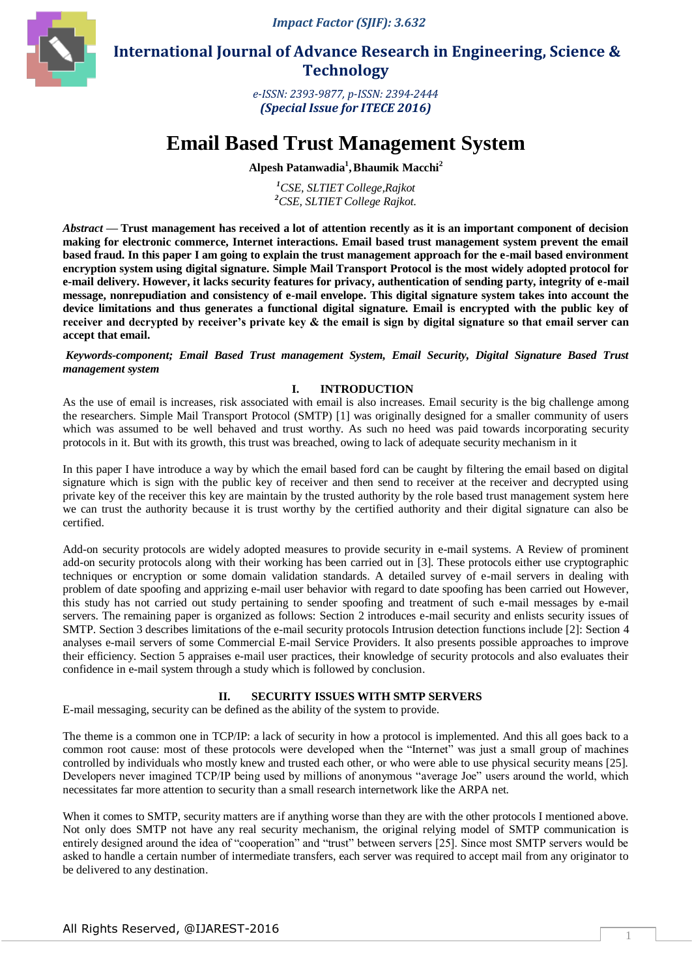*Impact Factor (SJIF): 3.632*



 **International Journal of Advance Research in Engineering, Science & Technology** 

> *e-ISSN: 2393-9877, p-ISSN: 2394-2444 (Special Issue for ITECE 2016)*

# **Email Based Trust Management System**

**Alpesh Patanwadia<sup>1</sup> ,Bhaumik Macchi<sup>2</sup>**

*<sup>1</sup>CSE, SLTIET College,Rajkot <sup>2</sup>CSE, SLTIET College Rajkot.*

*Abstract* **— Trust management has received a lot of attention recently as it is an important component of decision making for electronic commerce, Internet interactions. Email based trust management system prevent the email based fraud. In this paper I am going to explain the trust management approach for the e-mail based environment encryption system using digital signature. Simple Mail Transport Protocol is the most widely adopted protocol for e-mail delivery. However, it lacks security features for privacy, authentication of sending party, integrity of e-mail message, nonrepudiation and consistency of e-mail envelope. This digital signature system takes into account the device limitations and thus generates a functional digital signature. Email is encrypted with the public key of receiver and decrypted by receiver's private key & the email is sign by digital signature so that email server can accept that email.**

*Keywords-component; Email Based Trust management System, Email Security, Digital Signature Based Trust management system* 

# **I. INTRODUCTION**

As the use of email is increases, risk associated with email is also increases. Email security is the big challenge among the researchers. Simple Mail Transport Protocol (SMTP) [1] was originally designed for a smaller community of users which was assumed to be well behaved and trust worthy. As such no heed was paid towards incorporating security protocols in it. But with its growth, this trust was breached, owing to lack of adequate security mechanism in it

In this paper I have introduce a way by which the email based ford can be caught by filtering the email based on digital signature which is sign with the public key of receiver and then send to receiver at the receiver and decrypted using private key of the receiver this key are maintain by the trusted authority by the role based trust management system here we can trust the authority because it is trust worthy by the certified authority and their digital signature can also be certified.

Add-on security protocols are widely adopted measures to provide security in e-mail systems. A Review of prominent add-on security protocols along with their working has been carried out in [3]. These protocols either use cryptographic techniques or encryption or some domain validation standards. A detailed survey of e-mail servers in dealing with problem of date spoofing and apprizing e-mail user behavior with regard to date spoofing has been carried out However, this study has not carried out study pertaining to sender spoofing and treatment of such e-mail messages by e-mail servers. The remaining paper is organized as follows: Section 2 introduces e-mail security and enlists security issues of SMTP. Section 3 describes limitations of the e-mail security protocols Intrusion detection functions include [2]: Section 4 analyses e-mail servers of some Commercial E-mail Service Providers. It also presents possible approaches to improve their efficiency. Section 5 appraises e-mail user practices, their knowledge of security protocols and also evaluates their confidence in e-mail system through a study which is followed by conclusion.

# **II. SECURITY ISSUES WITH SMTP SERVERS**

E-mail messaging, security can be defined as the ability of the system to provide.

The theme is a common one in TCP/IP: a lack of security in how a protocol is implemented. And this all goes back to a common root cause: most of these protocols were developed when the "Internet" was just a small group of machines controlled by individuals who mostly knew and trusted each other, or who were able to use physical security means [25]. Developers never imagined TCP/IP being used by millions of anonymous "average Joe" users around the world, which necessitates far more attention to security than a small research internetwork like the ARPA net.

When it comes to SMTP, security matters are if anything worse than they are with the other protocols I mentioned above. Not only does SMTP not have any real security mechanism, the original relying model of SMTP communication is entirely designed around the idea of "cooperation" and "trust" between servers [25]. Since most SMTP servers would be asked to handle a certain number of intermediate transfers, each server was required to accept mail from any originator to be delivered to any destination.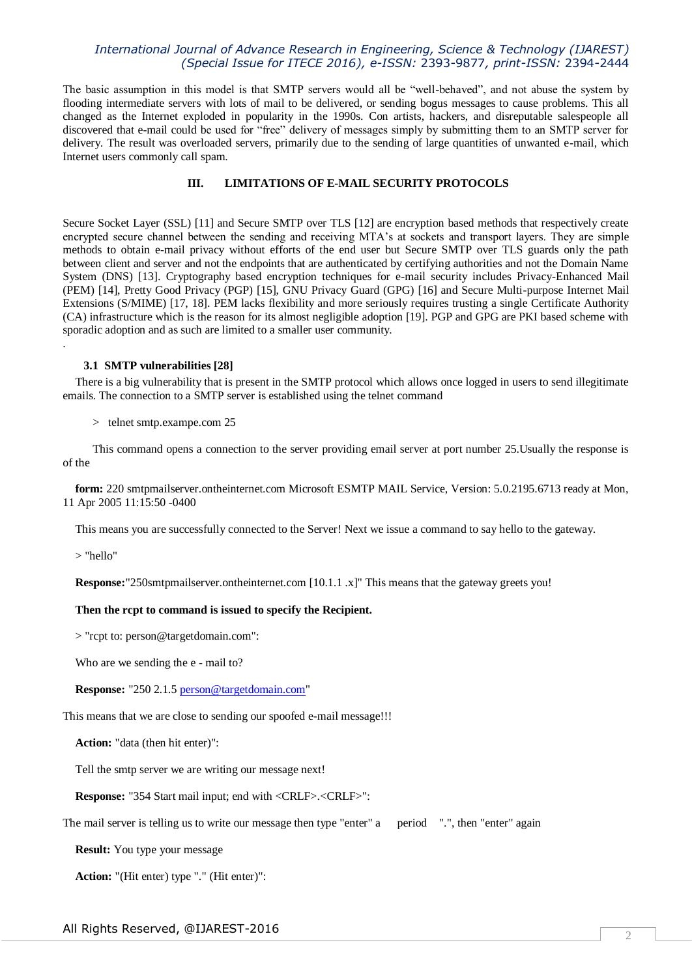The basic assumption in this model is that SMTP servers would all be "well-behaved", and not abuse the system by flooding intermediate servers with lots of mail to be delivered, or sending bogus messages to cause problems. This all changed as the Internet exploded in popularity in the 1990s. Con artists, hackers, and disreputable salespeople all discovered that e-mail could be used for "free" delivery of messages simply by submitting them to an SMTP server for delivery. The result was overloaded servers, primarily due to the sending of large quantities of unwanted e-mail, which Internet users commonly call spam.

# **III. LIMITATIONS OF E-MAIL SECURITY PROTOCOLS**

Secure Socket Layer (SSL) [11] and Secure SMTP over TLS [12] are encryption based methods that respectively create encrypted secure channel between the sending and receiving MTA's at sockets and transport layers. They are simple methods to obtain e-mail privacy without efforts of the end user but Secure SMTP over TLS guards only the path between client and server and not the endpoints that are authenticated by certifying authorities and not the Domain Name System (DNS) [13]. Cryptography based encryption techniques for e-mail security includes Privacy-Enhanced Mail (PEM) [14], Pretty Good Privacy (PGP) [15], GNU Privacy Guard (GPG) [16] and Secure Multi-purpose Internet Mail Extensions (S/MIME) [17, 18]. PEM lacks flexibility and more seriously requires trusting a single Certificate Authority (CA) infrastructure which is the reason for its almost negligible adoption [19]. PGP and GPG are PKI based scheme with sporadic adoption and as such are limited to a smaller user community.

#### **3.1 SMTP vulnerabilities [28]**

There is a big vulnerability that is present in the SMTP protocol which allows once logged in users to send illegitimate emails. The connection to a SMTP server is established using the telnet command

> telnet smtp.exampe.com 25

 This command opens a connection to the server providing email server at port number 25.Usually the response is of the

**form:** 220 smtpmailserver.ontheinternet.com Microsoft ESMTP MAIL Service, Version: 5.0.2195.6713 ready at Mon, 11 Apr 2005 11:15:50 -0400

This means you are successfully connected to the Server! Next we issue a command to say hello to the gateway.

> "hello"

.

**Response:**"250smtpmailserver.ontheinternet.com [10.1.1 .x]" This means that the gateway greets you!

#### **Then the rcpt to command is issued to specify the Recipient.**

> "rcpt to: person@targetdomain.com":

Who are we sending the e - mail to?

**Response:** "250 2.1.[5 person@targetdomain.com"](mailto:person@targetdomain.com)

This means that we are close to sending our spoofed e-mail message!!!

**Action:** "data (then hit enter)":

Tell the smtp server we are writing our message next!

**Response:** "354 Start mail input; end with <CRLF>.<CRLF>":

The mail server is telling us to write our message then type "enter" a period ".", then "enter" again

**Result:** You type your message

**Action:** "(Hit enter) type "." (Hit enter)":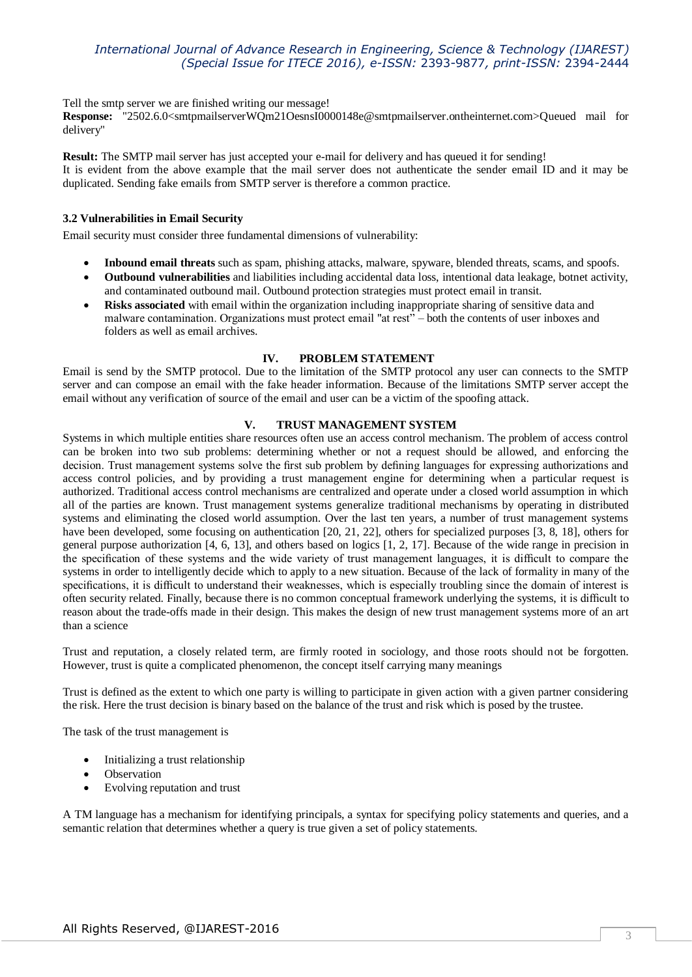Tell the smtp server we are finished writing our message!

**Response:** "2502.6.0<smtpmailserverWQm21OesnsI0000148e@smtpmailserver.ontheinternet.com>Queued mail for delivery"

**Result:** The SMTP mail server has just accepted your e-mail for delivery and has queued it for sending! It is evident from the above example that the mail server does not authenticate the sender email ID and it may be duplicated. Sending fake emails from SMTP server is therefore a common practice.

# **3.2 Vulnerabilities in Email Security**

Email security must consider three fundamental dimensions of vulnerability:

- **Inbound email threats** such as spam, phishing attacks, malware, spyware, blended threats, scams, and spoofs.
- **Outbound vulnerabilities** and liabilities including accidental data loss, intentional data leakage, botnet activity, and contaminated outbound mail. Outbound protection strategies must protect email in transit.
- **Risks associated** with email within the organization including inappropriate sharing of sensitive data and malware contamination. Organizations must protect email "at rest" – both the contents of user inboxes and folders as well as email archives.

## **IV. PROBLEM STATEMENT**

Email is send by the SMTP protocol. Due to the limitation of the SMTP protocol any user can connects to the SMTP server and can compose an email with the fake header information. Because of the limitations SMTP server accept the email without any verification of source of the email and user can be a victim of the spoofing attack.

#### **V. TRUST MANAGEMENT SYSTEM**

Systems in which multiple entities share resources often use an access control mechanism. The problem of access control can be broken into two sub problems: determining whether or not a request should be allowed, and enforcing the decision. Trust management systems solve the first sub problem by defining languages for expressing authorizations and access control policies, and by providing a trust management engine for determining when a particular request is authorized. Traditional access control mechanisms are centralized and operate under a closed world assumption in which all of the parties are known. Trust management systems generalize traditional mechanisms by operating in distributed systems and eliminating the closed world assumption. Over the last ten years, a number of trust management systems have been developed, some focusing on authentication [20, 21, 22], others for specialized purposes [3, 8, 18], others for general purpose authorization [4, 6, 13], and others based on logics [1, 2, 17]. Because of the wide range in precision in the specification of these systems and the wide variety of trust management languages, it is difficult to compare the systems in order to intelligently decide which to apply to a new situation. Because of the lack of formality in many of the specifications, it is difficult to understand their weaknesses, which is especially troubling since the domain of interest is often security related. Finally, because there is no common conceptual framework underlying the systems, it is difficult to reason about the trade-offs made in their design. This makes the design of new trust management systems more of an art than a science

Trust and reputation, a closely related term, are firmly rooted in sociology, and those roots should not be forgotten. However, trust is quite a complicated phenomenon, the concept itself carrying many meanings

Trust is defined as the extent to which one party is willing to participate in given action with a given partner considering the risk. Here the trust decision is binary based on the balance of the trust and risk which is posed by the trustee.

The task of the trust management is

- Initializing a trust relationship
- Observation
- Evolving reputation and trust

A TM language has a mechanism for identifying principals, a syntax for specifying policy statements and queries, and a semantic relation that determines whether a query is true given a set of policy statements.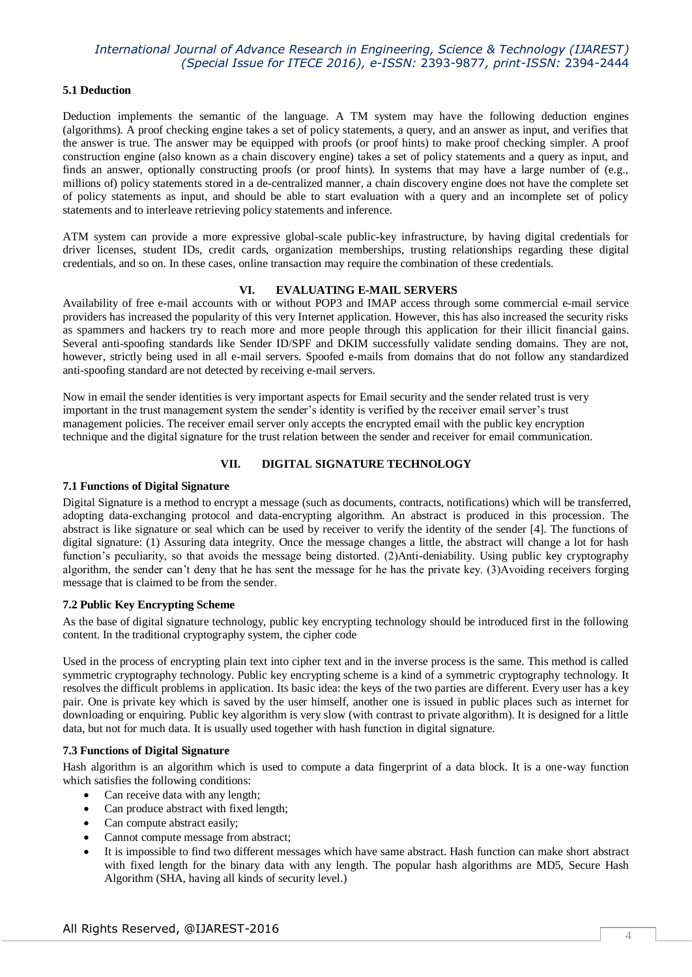#### **5.1 Deduction**

Deduction implements the semantic of the language. A TM system may have the following deduction engines (algorithms). A proof checking engine takes a set of policy statements, a query, and an answer as input, and verifies that the answer is true. The answer may be equipped with proofs (or proof hints) to make proof checking simpler. A proof construction engine (also known as a chain discovery engine) takes a set of policy statements and a query as input, and finds an answer, optionally constructing proofs (or proof hints). In systems that may have a large number of (e.g., millions of) policy statements stored in a de-centralized manner, a chain discovery engine does not have the complete set of policy statements as input, and should be able to start evaluation with a query and an incomplete set of policy statements and to interleave retrieving policy statements and inference.

ATM system can provide a more expressive global-scale public-key infrastructure, by having digital credentials for driver licenses, student IDs, credit cards, organization memberships, trusting relationships regarding these digital credentials, and so on. In these cases, online transaction may require the combination of these credentials.

#### **VI. EVALUATING E-MAIL SERVERS**

Availability of free e-mail accounts with or without POP3 and IMAP access through some commercial e-mail service providers has increased the popularity of this very Internet application. However, this has also increased the security risks as spammers and hackers try to reach more and more people through this application for their illicit financial gains. Several anti-spoofing standards like Sender ID/SPF and DKIM successfully validate sending domains. They are not, however, strictly being used in all e-mail servers. Spoofed e-mails from domains that do not follow any standardized anti-spoofing standard are not detected by receiving e-mail servers.

Now in email the sender identities is very important aspects for Email security and the sender related trust is very important in the trust management system the sender's identity is verified by the receiver email server's trust management policies. The receiver email server only accepts the encrypted email with the public key encryption technique and the digital signature for the trust relation between the sender and receiver for email communication.

# **VII. DIGITAL SIGNATURE TECHNOLOGY**

#### **7.1 Functions of Digital Signature**

Digital Signature is a method to encrypt a message (such as documents, contracts, notifications) which will be transferred, adopting data-exchanging protocol and data-encrypting algorithm. An abstract is produced in this procession. The abstract is like signature or seal which can be used by receiver to verify the identity of the sender [4]. The functions of digital signature: (1) Assuring data integrity. Once the message changes a little, the abstract will change a lot for hash function's peculiarity, so that avoids the message being distorted. (2)Anti-deniability. Using public key cryptography algorithm, the sender can't deny that he has sent the message for he has the private key. (3)Avoiding receivers forging message that is claimed to be from the sender.

## **7.2 Public Key Encrypting Scheme**

As the base of digital signature technology, public key encrypting technology should be introduced first in the following content. In the traditional cryptography system, the cipher code

Used in the process of encrypting plain text into cipher text and in the inverse process is the same. This method is called symmetric cryptography technology. Public key encrypting scheme is a kind of a symmetric cryptography technology. It resolves the difficult problems in application. Its basic idea: the keys of the two parties are different. Every user has a key pair. One is private key which is saved by the user himself, another one is issued in public places such as internet for downloading or enquiring. Public key algorithm is very slow (with contrast to private algorithm). It is designed for a little data, but not for much data. It is usually used together with hash function in digital signature.

#### **7.3 Functions of Digital Signature**

Hash algorithm is an algorithm which is used to compute a data fingerprint of a data block. It is a one-way function which satisfies the following conditions:

- Can receive data with any length;
- Can produce abstract with fixed length;
- Can compute abstract easily;
- Cannot compute message from abstract;
- It is impossible to find two different messages which have same abstract. Hash function can make short abstract with fixed length for the binary data with any length. The popular hash algorithms are MD5, Secure Hash Algorithm (SHA, having all kinds of security level.)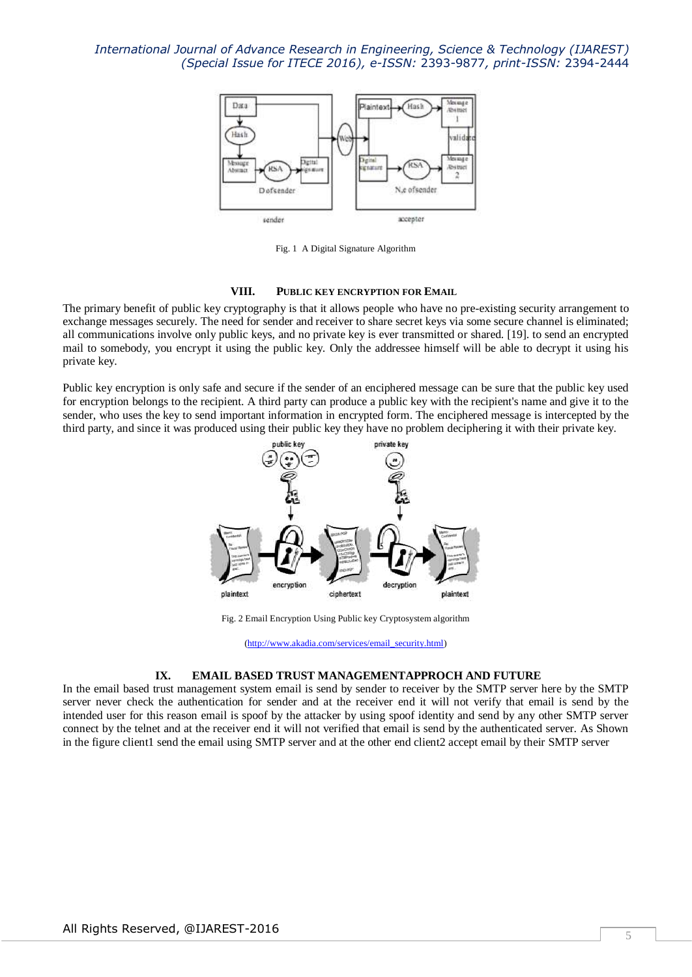

Fig. 1 A Digital Signature Algorithm

# **VIII. PUBLIC KEY ENCRYPTION FOR EMAIL**

The primary benefit of public key cryptography is that it allows people who have no pre-existing security arrangement to exchange messages securely. The need for sender and receiver to share secret keys via some secure channel is eliminated; all communications involve only public keys, and no private key is ever transmitted or shared. [19]. to send an encrypted mail to somebody, you encrypt it using the public key. Only the addressee himself will be able to decrypt it using his private key.

Public key encryption is only safe and secure if the sender of an enciphered message can be sure that the public key used for encryption belongs to the recipient. A third party can produce a public key with the recipient's name and give it to the sender, who uses the key to send important information in encrypted form. The enciphered message is intercepted by the third party, and since it was produced using their public key they have no problem deciphering it with their private key.



Fig. 2 Email Encryption Using Public key Cryptosystem algorithm

[\(http://www.akadia.com/services/email\\_security.html\)](http://www.akadia.com/services/email_security.html)

#### **IX. EMAIL BASED TRUST MANAGEMENTAPPROCH AND FUTURE**

In the email based trust management system email is send by sender to receiver by the SMTP server here by the SMTP server never check the authentication for sender and at the receiver end it will not verify that email is send by the intended user for this reason email is spoof by the attacker by using spoof identity and send by any other SMTP server connect by the telnet and at the receiver end it will not verified that email is send by the authenticated server. As Shown in the figure client1 send the email using SMTP server and at the other end client2 accept email by their SMTP server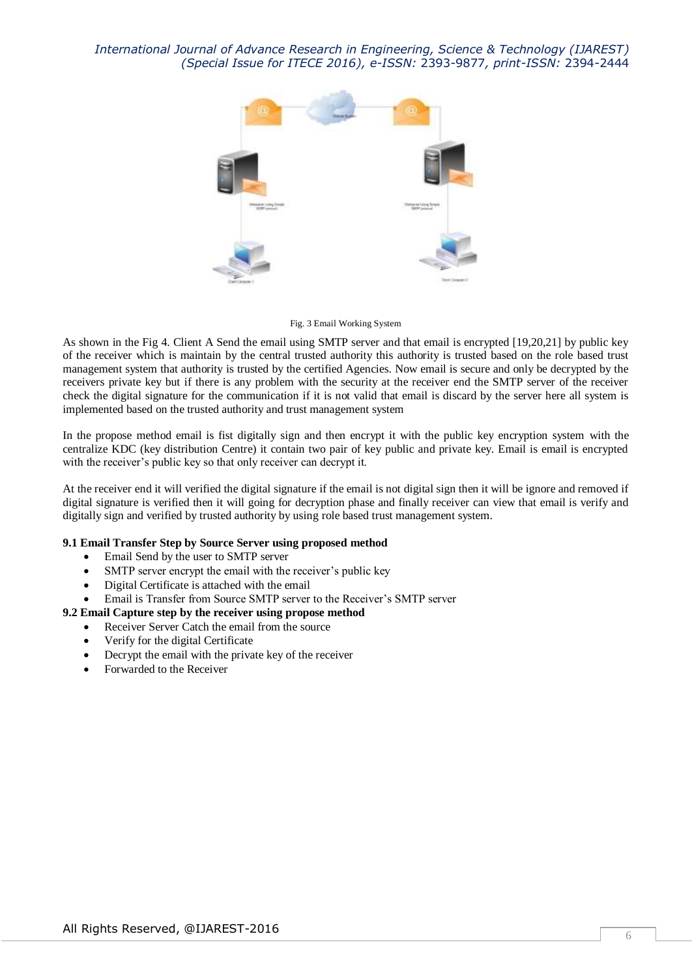

Fig. 3 Email Working System

As shown in the Fig 4. Client A Send the email using SMTP server and that email is encrypted [19,20,21] by public key of the receiver which is maintain by the central trusted authority this authority is trusted based on the role based trust management system that authority is trusted by the certified Agencies. Now email is secure and only be decrypted by the receivers private key but if there is any problem with the security at the receiver end the SMTP server of the receiver check the digital signature for the communication if it is not valid that email is discard by the server here all system is implemented based on the trusted authority and trust management system

In the propose method email is fist digitally sign and then encrypt it with the public key encryption system with the centralize KDC (key distribution Centre) it contain two pair of key public and private key. Email is email is encrypted with the receiver's public key so that only receiver can decrypt it.

At the receiver end it will verified the digital signature if the email is not digital sign then it will be ignore and removed if digital signature is verified then it will going for decryption phase and finally receiver can view that email is verify and digitally sign and verified by trusted authority by using role based trust management system.

## **9.1 Email Transfer Step by Source Server using proposed method**

- Email Send by the user to SMTP server
- SMTP server encrypt the email with the receiver's public key
- Digital Certificate is attached with the email
- Email is Transfer from Source SMTP server to the Receiver's SMTP server

## **9.2 Email Capture step by the receiver using propose method**

- Receiver Server Catch the email from the source
	- Verify for the digital Certificate
	- Decrypt the email with the private key of the receiver
	- Forwarded to the Receiver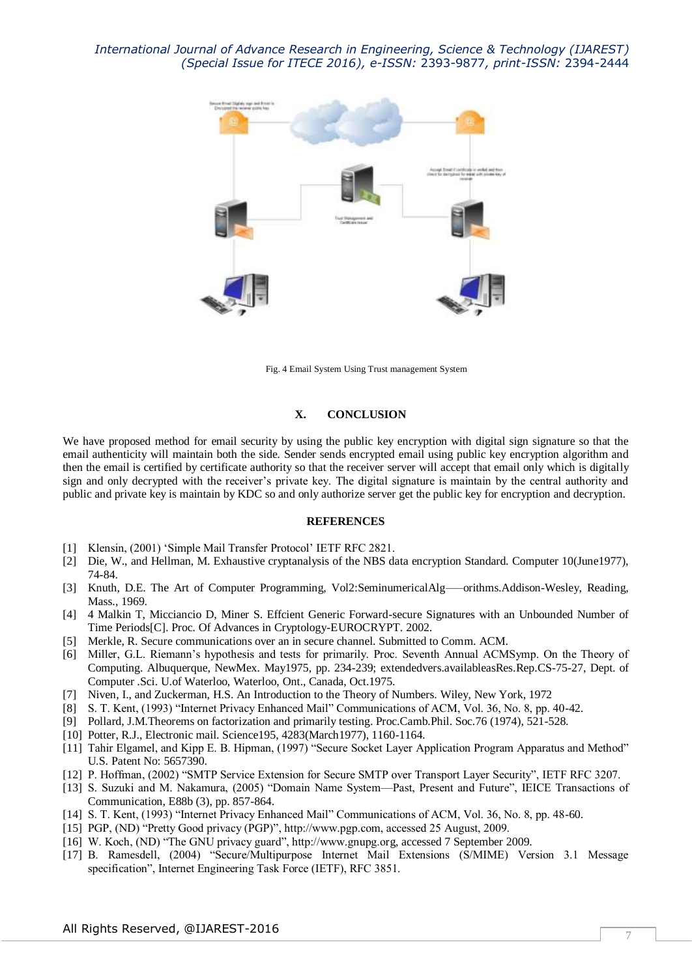

Fig. 4 Email System Using Trust management System

## **X. CONCLUSION**

We have proposed method for email security by using the public key encryption with digital sign signature so that the email authenticity will maintain both the side. Sender sends encrypted email using public key encryption algorithm and then the email is certified by certificate authority so that the receiver server will accept that email only which is digitally sign and only decrypted with the receiver's private key. The digital signature is maintain by the central authority and public and private key is maintain by KDC so and only authorize server get the public key for encryption and decryption.

#### **REFERENCES**

- [1] Klensin, (2001) 'Simple Mail Transfer Protocol' IETF RFC 2821.
- [2] Die, W., and Hellman, M. Exhaustive cryptanalysis of the NBS data encryption Standard. Computer 10(June1977), 74-84.
- [3] Knuth, D.E. The Art of Computer Programming, Vol2:SeminumericalAlg—–orithms.Addison-Wesley, Reading, Mass., 1969.
- [4] 4 Malkin T, Micciancio D, Miner S. Effcient Generic Forward-secure Signatures with an Unbounded Number of Time Periods[C]. Proc. Of Advances in Cryptology-EUROCRYPT. 2002.
- [5] Merkle, R. Secure communications over an in secure channel. Submitted to Comm. ACM.
- [6] Miller, G.L. Riemann's hypothesis and tests for primarily. Proc. Seventh Annual ACMSymp. On the Theory of Computing. Albuquerque, NewMex. May1975, pp. 234-239; extendedvers.availableasRes.Rep.CS-75-27, Dept. of Computer .Sci. U.of Waterloo, Waterloo, Ont., Canada, Oct.1975.
- [7] Niven, I., and Zuckerman, H.S. An Introduction to the Theory of Numbers. Wiley, New York, 1972
- [8] S. T. Kent, (1993) "Internet Privacy Enhanced Mail" Communications of ACM, Vol. 36, No. 8, pp. 40-42.
- [9] Pollard, J.M.Theorems on factorization and primarily testing. Proc.Camb.Phil. Soc.76 (1974), 521-528.
- [10] Potter, R.J., Electronic mail. Science195, 4283(March1977), 1160-1164.
- [11] Tahir Elgamel, and Kipp E. B. Hipman, (1997) "Secure Socket Layer Application Program Apparatus and Method" U.S. Patent No: 5657390.
- [12] P. Hoffman, (2002) "SMTP Service Extension for Secure SMTP over Transport Layer Security", IETF RFC 3207.
- [13] S. Suzuki and M. Nakamura, (2005) "Domain Name System—Past, Present and Future", IEICE Transactions of Communication, E88b (3), pp. 857-864.
- [14] S. T. Kent, (1993) "Internet Privacy Enhanced Mail" Communications of ACM, Vol. 36, No. 8, pp. 48-60.
- [15] PGP, (ND) "Pretty Good privacy (PGP)", http://www.pgp.com, accessed 25 August, 2009.
- [16] W. Koch, (ND) "The GNU privacy guard", http://www.gnupg.org, accessed 7 September 2009.
- [17] B. Ramesdell, (2004) "Secure/Multipurpose Internet Mail Extensions (S/MIME) Version 3.1 Message specification", Internet Engineering Task Force (IETF), RFC 3851.